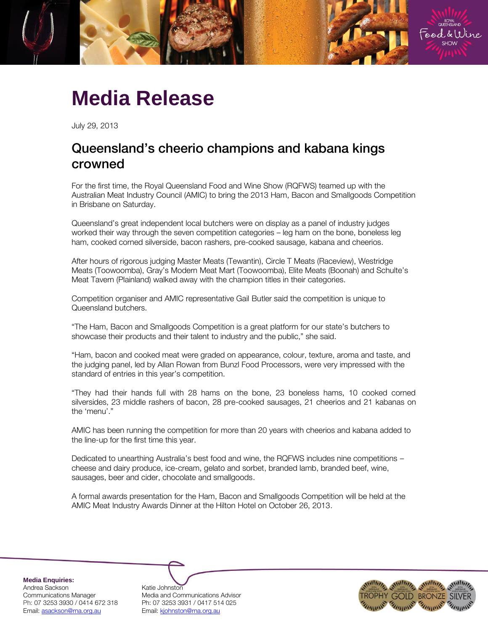

## **Media Release**

July 29, 2013

## Queensland's cheerio champions and kabana kings crowned

For the first time, the Royal Queensland Food and Wine Show (RQFWS) teamed up with the Australian Meat Industry Council (AMIC) to bring the 2013 Ham, Bacon and Smallgoods Competition in Brisbane on Saturday.

Queensland's great independent local butchers were on display as a panel of industry judges worked their way through the seven competition categories – leg ham on the bone, boneless leg ham, cooked corned silverside, bacon rashers, pre-cooked sausage, kabana and cheerios.

After hours of rigorous judging Master Meats (Tewantin), Circle T Meats (Raceview), Westridge Meats (Toowoomba), Gray's Modern Meat Mart (Toowoomba), Elite Meats (Boonah) and Schulte's Meat Tavern (Plainland) walked away with the champion titles in their categories.

Competition organiser and AMIC representative Gail Butler said the competition is unique to Queensland butchers.

"The Ham, Bacon and Smallgoods Competition is a great platform for our state's butchers to showcase their products and their talent to industry and the public," she said.

"Ham, bacon and cooked meat were graded on appearance, colour, texture, aroma and taste, and the judging panel, led by Allan Rowan from Bunzl Food Processors, were very impressed with the standard of entries in this year's competition.

"They had their hands full with 28 hams on the bone, 23 boneless hams, 10 cooked corned silversides, 23 middle rashers of bacon, 28 pre-cooked sausages, 21 cheerios and 21 kabanas on the 'menu'."

AMIC has been running the competition for more than 20 years with cheerios and kabana added to the line-up for the first time this year.

Dedicated to unearthing Australia's best food and wine, the RQFWS includes nine competitions – cheese and dairy produce, ice-cream, gelato and sorbet, branded lamb, branded beef, wine, sausages, beer and cider, chocolate and smallgoods.

A formal awards presentation for the Ham, Bacon and Smallgoods Competition will be held at the AMIC Meat Industry Awards Dinner at the Hilton Hotel on October 26, 2013.

**Media Enquiries:** Andrea Sackson Katie Johnston

Communications Manager Media and Communications Advisor Ph: 07 3253 3930 / 0414 672 318 Ph: 07 3253 3931 / 0417 514 025 Email: asackson@rna.org.au Fmail: kjohnston@rna.org.au